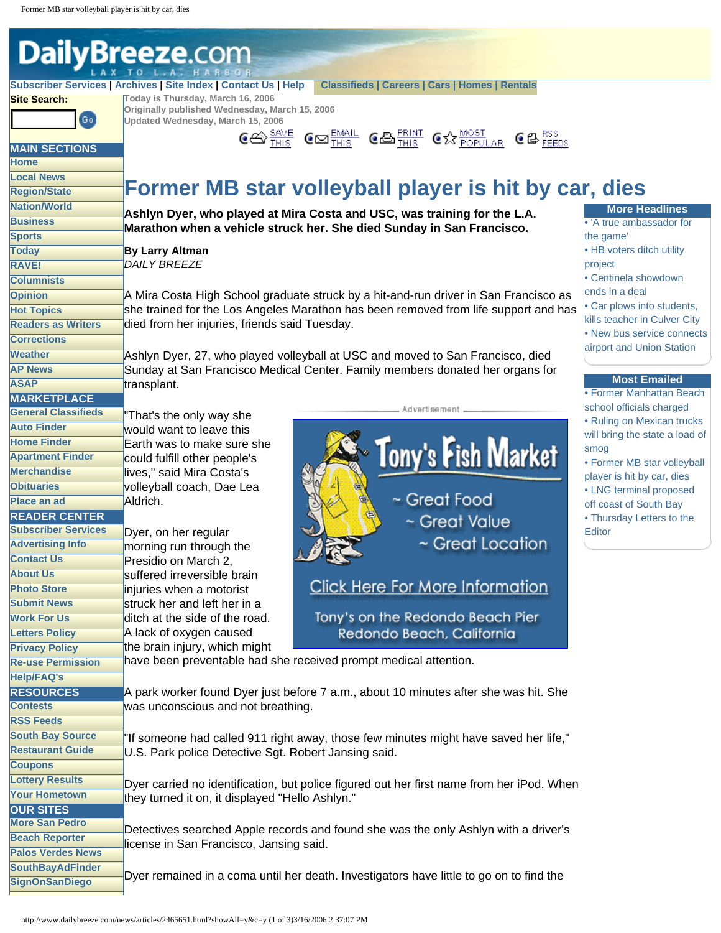<span id="page-0-0"></span>

Dyer remained in a coma until her death. Investigators have little to go on to find the

**[SignOnSanDiego](http://www.signonsandiego.com/)**